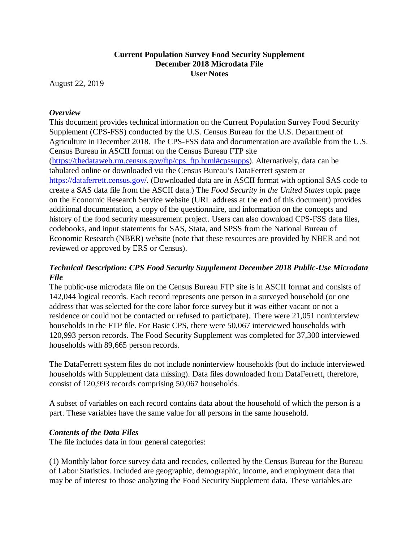# **Current Population Survey Food Security Supplement December 2018 Microdata File User Notes**

August 22, 2019

## *Overview*

This document provides technical information on the Current Population Survey Food Security Supplement (CPS-FSS) conducted by the U.S. Census Bureau for the U.S. Department of Agriculture in December 2018. The CPS-FSS data and documentation are available from the U.S. Census Bureau in ASCII format on the Census Bureau FTP site [\(https://thedataweb.rm.census.gov/ftp/cps\\_ftp.html#cpssupps\)](https://thedataweb.rm.census.gov/ftp/cps_ftp.html#cpssupps). Alternatively, data can be tabulated online or downloaded via the Census Bureau's DataFerrett system at [https://dataferrett.census.gov/.](https://dataferrett.census.gov/) (Downloaded data are in ASCII format with optional SAS code to create a SAS data file from the ASCII data.) The *Food Security in the United States* topic page on the Economic Research Service website (URL address at the end of this document) provides additional documentation, a copy of the questionnaire, and information on the concepts and history of the food security measurement project. Users can also download CPS-FSS data files, codebooks, and input statements for SAS, Stata, and SPSS from the National Bureau of Economic Research (NBER) website (note that these resources are provided by NBER and not reviewed or approved by ERS or Census).

# *Technical Description: CPS Food Security Supplement December 2018 Public-Use Microdata File*

The public-use microdata file on the Census Bureau FTP site is in ASCII format and consists of 142,044 logical records. Each record represents one person in a surveyed household (or one address that was selected for the core labor force survey but it was either vacant or not a residence or could not be contacted or refused to participate). There were 21,051 noninterview households in the FTP file. For Basic CPS, there were 50,067 interviewed households with 120,993 person records. The Food Security Supplement was completed for 37,300 interviewed households with 89,665 person records.

The DataFerrett system files do not include noninterview households (but do include interviewed households with Supplement data missing). Data files downloaded from DataFerrett, therefore, consist of 120,993 records comprising 50,067 households.

A subset of variables on each record contains data about the household of which the person is a part. These variables have the same value for all persons in the same household.

## *Contents of the Data Files*

The file includes data in four general categories:

(1) Monthly labor force survey data and recodes, collected by the Census Bureau for the Bureau of Labor Statistics. Included are geographic, demographic, income, and employment data that may be of interest to those analyzing the Food Security Supplement data. These variables are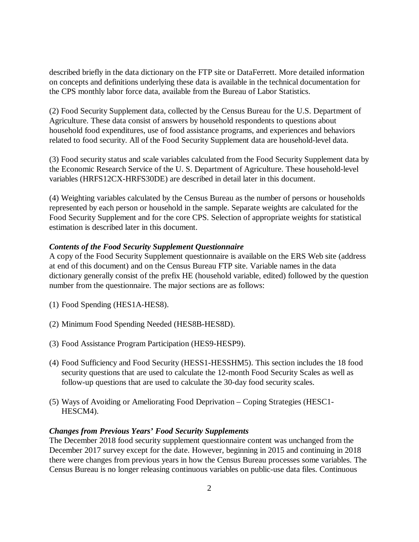described briefly in the data dictionary on the FTP site or DataFerrett. More detailed information on concepts and definitions underlying these data is available in the technical documentation for the CPS monthly labor force data, available from the Bureau of Labor Statistics.

(2) Food Security Supplement data, collected by the Census Bureau for the U.S. Department of Agriculture. These data consist of answers by household respondents to questions about household food expenditures, use of food assistance programs, and experiences and behaviors related to food security. All of the Food Security Supplement data are household-level data.

(3) Food security status and scale variables calculated from the Food Security Supplement data by the Economic Research Service of the U. S. Department of Agriculture. These household-level variables (HRFS12CX-HRFS30DE) are described in detail later in this document.

(4) Weighting variables calculated by the Census Bureau as the number of persons or households represented by each person or household in the sample. Separate weights are calculated for the Food Security Supplement and for the core CPS. Selection of appropriate weights for statistical estimation is described later in this document.

## *Contents of the Food Security Supplement Questionnaire*

A copy of the Food Security Supplement questionnaire is available on the ERS Web site (address at end of this document) and on the Census Bureau FTP site. Variable names in the data dictionary generally consist of the prefix HE (household variable, edited) followed by the question number from the questionnaire. The major sections are as follows:

- (1) Food Spending (HES1A-HES8).
- (2) Minimum Food Spending Needed (HES8B-HES8D).
- (3) Food Assistance Program Participation (HES9-HESP9).
- (4) Food Sufficiency and Food Security (HESS1-HESSHM5). This section includes the 18 food security questions that are used to calculate the 12-month Food Security Scales as well as follow-up questions that are used to calculate the 30-day food security scales.
- (5) Ways of Avoiding or Ameliorating Food Deprivation Coping Strategies (HESC1- HESCM4).

### *Changes from Previous Years' Food Security Supplements*

The December 2018 food security supplement questionnaire content was unchanged from the December 2017 survey except for the date. However, beginning in 2015 and continuing in 2018 there were changes from previous years in how the Census Bureau processes some variables. The Census Bureau is no longer releasing continuous variables on public-use data files. Continuous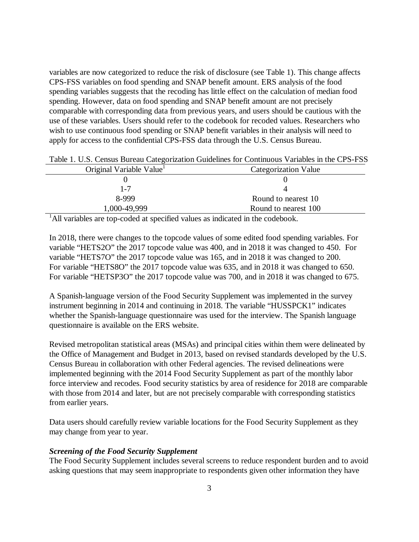variables are now categorized to reduce the risk of disclosure (see Table 1). This change affects CPS-FSS variables on food spending and SNAP benefit amount. ERS analysis of the food spending variables suggests that the recoding has little effect on the calculation of median food spending. However, data on food spending and SNAP benefit amount are not precisely comparable with corresponding data from previous years, and users should be cautious with the use of these variables. Users should refer to the codebook for recoded values. Researchers who wish to use continuous food spending or SNAP benefit variables in their analysis will need to apply for access to the confidential CPS-FSS data through the U.S. Census Bureau.

| Table 1. O.S. Census Dureau Categorization Guidelines for Communus Variables in the Cr S-r SS |                             |
|-----------------------------------------------------------------------------------------------|-----------------------------|
| Original Variable Value                                                                       | <b>Categorization Value</b> |
|                                                                                               |                             |
| 1-7                                                                                           |                             |
| 8-999                                                                                         | Round to nearest 10         |
| 1,000-49,999                                                                                  | Round to nearest 100        |
|                                                                                               |                             |

Table 1. U.S. Census Bureau Categorization Guidelines for Continuous Variables in the CPS-FSS

<sup>1</sup>All variables are top-coded at specified values as indicated in the codebook.

In 2018, there were changes to the topcode values of some edited food spending variables. For variable "HETS2O" the 2017 topcode value was 400, and in 2018 it was changed to 450. For variable "HETS7O" the 2017 topcode value was 165, and in 2018 it was changed to 200. For variable "HETS8O" the 2017 topcode value was 635, and in 2018 it was changed to 650. For variable "HETSP3O" the 2017 topcode value was 700, and in 2018 it was changed to 675.

A Spanish-language version of the Food Security Supplement was implemented in the survey instrument beginning in 2014 and continuing in 2018. The variable "HUSSPCK1" indicates whether the Spanish-language questionnaire was used for the interview. The Spanish language questionnaire is available on the ERS website.

Revised metropolitan statistical areas (MSAs) and principal cities within them were delineated by the Office of Management and Budget in 2013, based on revised standards developed by the U.S. Census Bureau in collaboration with other Federal agencies. The revised delineations were implemented beginning with the 2014 Food Security Supplement as part of the monthly labor force interview and recodes. Food security statistics by area of residence for 2018 are comparable with those from 2014 and later, but are not precisely comparable with corresponding statistics from earlier years.

Data users should carefully review variable locations for the Food Security Supplement as they may change from year to year.

### *Screening of the Food Security Supplement*

The Food Security Supplement includes several screens to reduce respondent burden and to avoid asking questions that may seem inappropriate to respondents given other information they have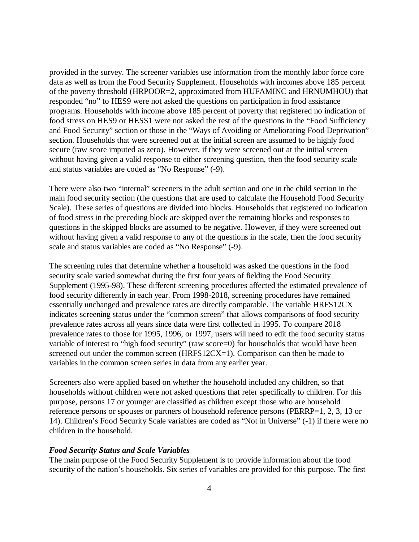provided in the survey. The screener variables use information from the monthly labor force core data as well as from the Food Security Supplement. Households with incomes above 185 percent of the poverty threshold (HRPOOR=2, approximated from HUFAMINC and HRNUMHOU) that responded "no" to HES9 were not asked the questions on participation in food assistance programs. Households with income above 185 percent of poverty that registered no indication of food stress on HES9 or HESS1 were not asked the rest of the questions in the "Food Sufficiency and Food Security" section or those in the "Ways of Avoiding or Ameliorating Food Deprivation" section. Households that were screened out at the initial screen are assumed to be highly food secure (raw score imputed as zero). However, if they were screened out at the initial screen without having given a valid response to either screening question, then the food security scale and status variables are coded as "No Response" (-9).

There were also two "internal" screeners in the adult section and one in the child section in the main food security section (the questions that are used to calculate the Household Food Security Scale). These series of questions are divided into blocks. Households that registered no indication of food stress in the preceding block are skipped over the remaining blocks and responses to questions in the skipped blocks are assumed to be negative. However, if they were screened out without having given a valid response to any of the questions in the scale, then the food security scale and status variables are coded as "No Response" (-9).

The screening rules that determine whether a household was asked the questions in the food security scale varied somewhat during the first four years of fielding the Food Security Supplement (1995-98). These different screening procedures affected the estimated prevalence of food security differently in each year. From 1998-2018, screening procedures have remained essentially unchanged and prevalence rates are directly comparable. The variable HRFS12CX indicates screening status under the "common screen" that allows comparisons of food security prevalence rates across all years since data were first collected in 1995. To compare 2018 prevalence rates to those for 1995, 1996, or 1997, users will need to edit the food security status variable of interest to "high food security" (raw score=0) for households that would have been screened out under the common screen (HRFS12CX=1). Comparison can then be made to variables in the common screen series in data from any earlier year.

Screeners also were applied based on whether the household included any children, so that households without children were not asked questions that refer specifically to children. For this purpose, persons 17 or younger are classified as children except those who are household reference persons or spouses or partners of household reference persons (PERRP=1, 2, 3, 13 or 14). Children's Food Security Scale variables are coded as "Not in Universe" (-1) if there were no children in the household.

#### *Food Security Status and Scale Variables*

The main purpose of the Food Security Supplement is to provide information about the food security of the nation's households. Six series of variables are provided for this purpose. The first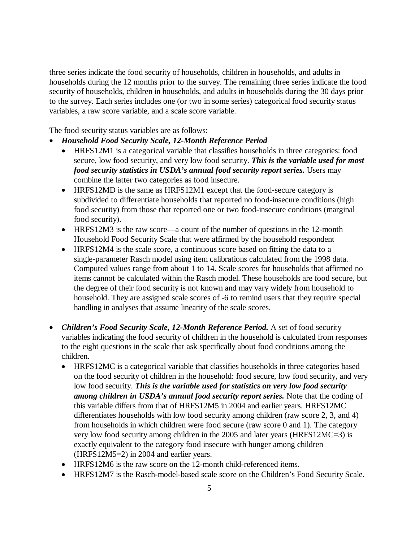three series indicate the food security of households, children in households, and adults in households during the 12 months prior to the survey. The remaining three series indicate the food security of households, children in households, and adults in households during the 30 days prior to the survey. Each series includes one (or two in some series) categorical food security status variables, a raw score variable, and a scale score variable.

The food security status variables are as follows:

- *Household Food Security Scale, 12-Month Reference Period*
	- HRFS12M1 is a categorical variable that classifies households in three categories: food secure, low food security, and very low food security. *This is the variable used for most food security statistics in USDA's annual food security report series.* Users may combine the latter two categories as food insecure.
	- HRFS12MD is the same as HRFS12M1 except that the food-secure category is subdivided to differentiate households that reported no food-insecure conditions (high food security) from those that reported one or two food-insecure conditions (marginal food security).
	- HRFS12M3 is the raw score—a count of the number of questions in the 12-month Household Food Security Scale that were affirmed by the household respondent
	- HRFS12M4 is the scale score, a continuous score based on fitting the data to a single-parameter Rasch model using item calibrations calculated from the 1998 data. Computed values range from about 1 to 14. Scale scores for households that affirmed no items cannot be calculated within the Rasch model. These households are food secure, but the degree of their food security is not known and may vary widely from household to household. They are assigned scale scores of -6 to remind users that they require special handling in analyses that assume linearity of the scale scores.
- *Children's Food Security Scale, 12-Month Reference Period.* A set of food security variables indicating the food security of children in the household is calculated from responses to the eight questions in the scale that ask specifically about food conditions among the children.
	- HRFS12MC is a categorical variable that classifies households in three categories based on the food security of children in the household: food secure, low food security, and very low food security. *This is the variable used for statistics on very low food security among children in USDA's annual food security report series.* Note that the coding of this variable differs from that of HRFS12M5 in 2004 and earlier years. HRFS12MC differentiates households with low food security among children (raw score 2, 3, and 4) from households in which children were food secure (raw score 0 and 1). The category very low food security among children in the 2005 and later years (HRFS12MC=3) is exactly equivalent to the category food insecure with hunger among children (HRFS12M5=2) in 2004 and earlier years.
	- HRFS12M6 is the raw score on the 12-month child-referenced items.
	- HRFS12M7 is the Rasch-model-based scale score on the Children's Food Security Scale.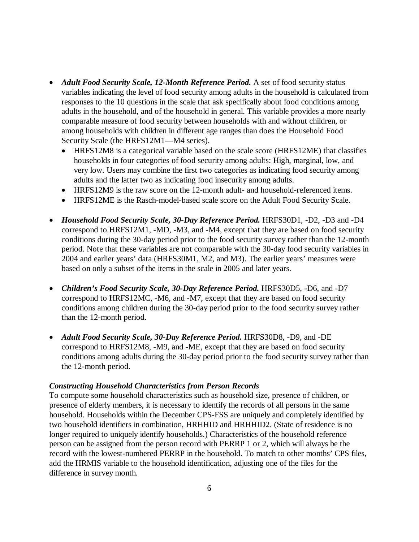- *Adult Food Security Scale, 12-Month Reference Period.* A set of food security status variables indicating the level of food security among adults in the household is calculated from responses to the 10 questions in the scale that ask specifically about food conditions among adults in the household, and of the household in general. This variable provides a more nearly comparable measure of food security between households with and without children, or among households with children in different age ranges than does the Household Food Security Scale (the HRFS12M1—M4 series).
	- HRFS12M8 is a categorical variable based on the scale score (HRFS12ME) that classifies households in four categories of food security among adults: High, marginal, low, and very low. Users may combine the first two categories as indicating food security among adults and the latter two as indicating food insecurity among adults.
	- HRFS12M9 is the raw score on the 12-month adult- and household-referenced items.
	- HRFS12ME is the Rasch-model-based scale score on the Adult Food Security Scale.
- *Household Food Security Scale, 30-Day Reference Period.* HRFS30D1, -D2, -D3 and -D4 correspond to HRFS12M1, -MD, -M3, and -M4, except that they are based on food security conditions during the 30-day period prior to the food security survey rather than the 12-month period. Note that these variables are not comparable with the 30-day food security variables in 2004 and earlier years' data (HRFS30M1, M2, and M3). The earlier years' measures were based on only a subset of the items in the scale in 2005 and later years.
- *Children's Food Security Scale, 30-Day Reference Period.* HRFS30D5, -D6, and -D7 correspond to HRFS12MC, -M6, and -M7, except that they are based on food security conditions among children during the 30-day period prior to the food security survey rather than the 12-month period.
- *Adult Food Security Scale, 30-Day Reference Period.* HRFS30D8, -D9, and -DE correspond to HRFS12M8, -M9, and -ME, except that they are based on food security conditions among adults during the 30-day period prior to the food security survey rather than the 12-month period.

### *Constructing Household Characteristics from Person Records*

To compute some household characteristics such as household size, presence of children, or presence of elderly members, it is necessary to identify the records of all persons in the same household. Households within the December CPS-FSS are uniquely and completely identified by two household identifiers in combination, HRHHID and HRHHID2. (State of residence is no longer required to uniquely identify households.) Characteristics of the household reference person can be assigned from the person record with PERRP 1 or 2, which will always be the record with the lowest-numbered PERRP in the household. To match to other months' CPS files, add the HRMIS variable to the household identification, adjusting one of the files for the difference in survey month.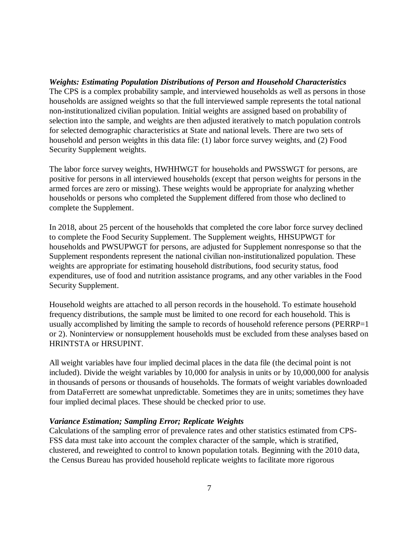## *Weights: Estimating Population Distributions of Person and Household Characteristics*

The CPS is a complex probability sample, and interviewed households as well as persons in those households are assigned weights so that the full interviewed sample represents the total national non-institutionalized civilian population. Initial weights are assigned based on probability of selection into the sample, and weights are then adjusted iteratively to match population controls for selected demographic characteristics at State and national levels. There are two sets of household and person weights in this data file: (1) labor force survey weights, and (2) Food Security Supplement weights.

The labor force survey weights, HWHHWGT for households and PWSSWGT for persons, are positive for persons in all interviewed households (except that person weights for persons in the armed forces are zero or missing). These weights would be appropriate for analyzing whether households or persons who completed the Supplement differed from those who declined to complete the Supplement.

In 2018, about 25 percent of the households that completed the core labor force survey declined to complete the Food Security Supplement. The Supplement weights, HHSUPWGT for households and PWSUPWGT for persons, are adjusted for Supplement nonresponse so that the Supplement respondents represent the national civilian non-institutionalized population. These weights are appropriate for estimating household distributions, food security status, food expenditures, use of food and nutrition assistance programs, and any other variables in the Food Security Supplement.

Household weights are attached to all person records in the household. To estimate household frequency distributions, the sample must be limited to one record for each household. This is usually accomplished by limiting the sample to records of household reference persons (PERRP=1 or 2). Noninterview or nonsupplement households must be excluded from these analyses based on HRINTSTA or HRSUPINT.

All weight variables have four implied decimal places in the data file (the decimal point is not included). Divide the weight variables by 10,000 for analysis in units or by 10,000,000 for analysis in thousands of persons or thousands of households. The formats of weight variables downloaded from DataFerrett are somewhat unpredictable. Sometimes they are in units; sometimes they have four implied decimal places. These should be checked prior to use.

## *Variance Estimation; Sampling Error; Replicate Weights*

Calculations of the sampling error of prevalence rates and other statistics estimated from CPS-FSS data must take into account the complex character of the sample, which is stratified, clustered, and reweighted to control to known population totals. Beginning with the 2010 data, the Census Bureau has provided household replicate weights to facilitate more rigorous